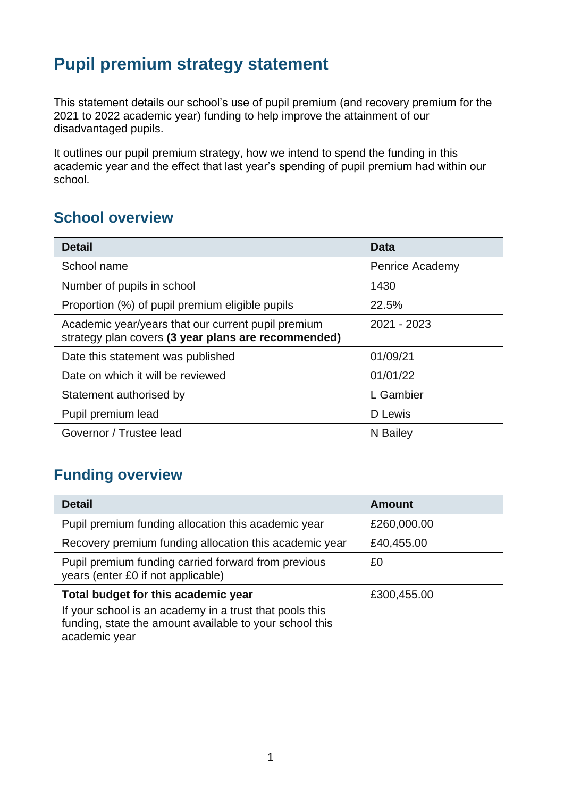# **Pupil premium strategy statement**

This statement details our school's use of pupil premium (and recovery premium for the 2021 to 2022 academic year) funding to help improve the attainment of our disadvantaged pupils.

It outlines our pupil premium strategy, how we intend to spend the funding in this academic year and the effect that last year's spending of pupil premium had within our school.

### **School overview**

| <b>Detail</b>                                                                                             | Data            |
|-----------------------------------------------------------------------------------------------------------|-----------------|
| School name                                                                                               | Penrice Academy |
| Number of pupils in school                                                                                | 1430            |
| Proportion (%) of pupil premium eligible pupils                                                           | 22.5%           |
| Academic year/years that our current pupil premium<br>strategy plan covers (3 year plans are recommended) | 2021 - 2023     |
| Date this statement was published                                                                         | 01/09/21        |
| Date on which it will be reviewed                                                                         | 01/01/22        |
| Statement authorised by                                                                                   | L Gambier       |
| Pupil premium lead                                                                                        | D Lewis         |
| Governor / Trustee lead                                                                                   | N Bailey        |

## **Funding overview**

| <b>Detail</b>                                                                                                                       | <b>Amount</b> |
|-------------------------------------------------------------------------------------------------------------------------------------|---------------|
| Pupil premium funding allocation this academic year                                                                                 | £260,000.00   |
| Recovery premium funding allocation this academic year                                                                              | £40,455.00    |
| Pupil premium funding carried forward from previous<br>years (enter £0 if not applicable)                                           | £0            |
| Total budget for this academic year                                                                                                 | £300,455.00   |
| If your school is an academy in a trust that pools this<br>funding, state the amount available to your school this<br>academic year |               |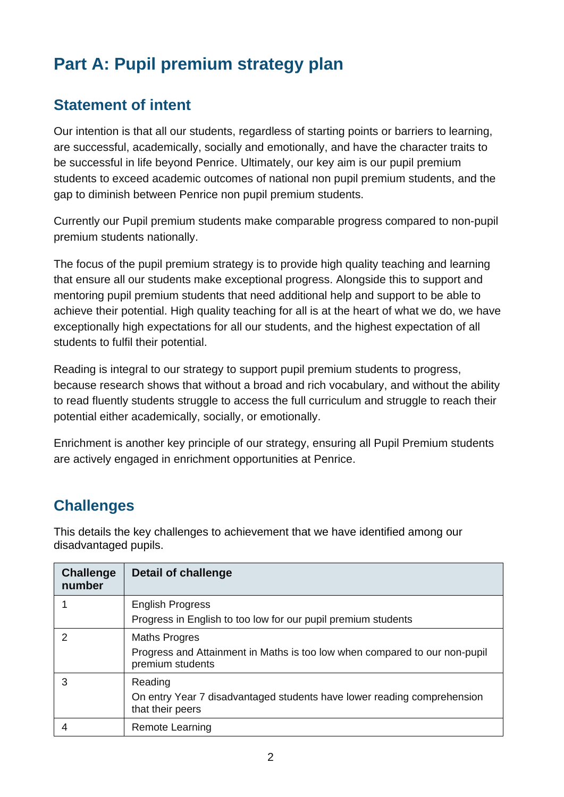# **Part A: Pupil premium strategy plan**

## **Statement of intent**

Our intention is that all our students, regardless of starting points or barriers to learning, are successful, academically, socially and emotionally, and have the character traits to be successful in life beyond Penrice. Ultimately, our key aim is our pupil premium students to exceed academic outcomes of national non pupil premium students, and the gap to diminish between Penrice non pupil premium students.

Currently our Pupil premium students make comparable progress compared to non-pupil premium students nationally.

The focus of the pupil premium strategy is to provide high quality teaching and learning that ensure all our students make exceptional progress. Alongside this to support and mentoring pupil premium students that need additional help and support to be able to achieve their potential. High quality teaching for all is at the heart of what we do, we have exceptionally high expectations for all our students, and the highest expectation of all students to fulfil their potential.

Reading is integral to our strategy to support pupil premium students to progress, because research shows that without a broad and rich vocabulary, and without the ability to read fluently students struggle to access the full curriculum and struggle to reach their potential either academically, socially, or emotionally.

Enrichment is another key principle of our strategy, ensuring all Pupil Premium students are actively engaged in enrichment opportunities at Penrice.

# **Challenges**

This details the key challenges to achievement that we have identified among our disadvantaged pupils.

| <b>Challenge</b><br>number | Detail of challenge                                                                                                    |
|----------------------------|------------------------------------------------------------------------------------------------------------------------|
|                            | <b>English Progress</b><br>Progress in English to too low for our pupil premium students                               |
| $\mathcal{P}$              | <b>Maths Progres</b><br>Progress and Attainment in Maths is too low when compared to our non-pupil<br>premium students |
| 3                          | Reading<br>On entry Year 7 disadvantaged students have lower reading comprehension<br>that their peers                 |
|                            | Remote Learning                                                                                                        |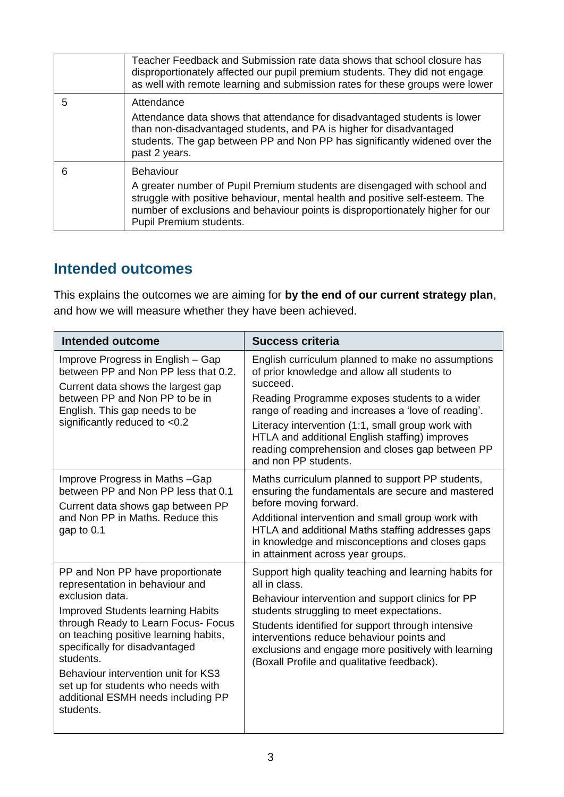|   | Teacher Feedback and Submission rate data shows that school closure has<br>disproportionately affected our pupil premium students. They did not engage<br>as well with remote learning and submission rates for these groups were lower                                                     |
|---|---------------------------------------------------------------------------------------------------------------------------------------------------------------------------------------------------------------------------------------------------------------------------------------------|
| 5 | Attendance<br>Attendance data shows that attendance for disadvantaged students is lower<br>than non-disadvantaged students, and PA is higher for disadvantaged<br>students. The gap between PP and Non PP has significantly widened over the<br>past 2 years.                               |
| 6 | <b>Behaviour</b><br>A greater number of Pupil Premium students are disengaged with school and<br>struggle with positive behaviour, mental health and positive self-esteem. The<br>number of exclusions and behaviour points is disproportionately higher for our<br>Pupil Premium students. |

# **Intended outcomes**

This explains the outcomes we are aiming for **by the end of our current strategy plan**, and how we will measure whether they have been achieved.

| <b>Intended outcome</b>                                                                                                                                                                                                                                                                                                                                                                           | <b>Success criteria</b>                                                                                                                                                                                                                                                                                                                                                                                 |
|---------------------------------------------------------------------------------------------------------------------------------------------------------------------------------------------------------------------------------------------------------------------------------------------------------------------------------------------------------------------------------------------------|---------------------------------------------------------------------------------------------------------------------------------------------------------------------------------------------------------------------------------------------------------------------------------------------------------------------------------------------------------------------------------------------------------|
| Improve Progress in English – Gap<br>between PP and Non PP less that 0.2.<br>Current data shows the largest gap<br>between PP and Non PP to be in<br>English. This gap needs to be<br>significantly reduced to <0.2                                                                                                                                                                               | English curriculum planned to make no assumptions<br>of prior knowledge and allow all students to<br>succeed.<br>Reading Programme exposes students to a wider<br>range of reading and increases a 'love of reading'.<br>Literacy intervention (1:1, small group work with<br>HTLA and additional English staffing) improves<br>reading comprehension and closes gap between PP<br>and non PP students. |
| Improve Progress in Maths-Gap<br>between PP and Non PP less that 0.1<br>Current data shows gap between PP<br>and Non PP in Maths, Reduce this<br>gap to $0.1$                                                                                                                                                                                                                                     | Maths curriculum planned to support PP students,<br>ensuring the fundamentals are secure and mastered<br>before moving forward.<br>Additional intervention and small group work with<br>HTLA and additional Maths staffing addresses gaps<br>in knowledge and misconceptions and closes gaps<br>in attainment across year groups.                                                                       |
| PP and Non PP have proportionate<br>representation in behaviour and<br>exclusion data.<br><b>Improved Students learning Habits</b><br>through Ready to Learn Focus- Focus<br>on teaching positive learning habits,<br>specifically for disadvantaged<br>students.<br>Behaviour intervention unit for KS3<br>set up for students who needs with<br>additional ESMH needs including PP<br>students. | Support high quality teaching and learning habits for<br>all in class.<br>Behaviour intervention and support clinics for PP<br>students struggling to meet expectations.<br>Students identified for support through intensive<br>interventions reduce behaviour points and<br>exclusions and engage more positively with learning<br>(Boxall Profile and qualitative feedback).                         |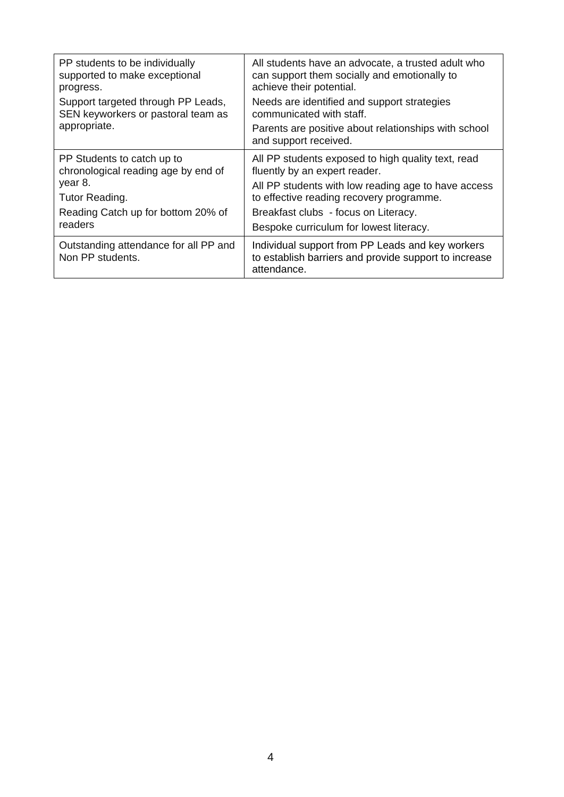| PP students to be individually<br>supported to make exceptional<br>progress.<br>Support targeted through PP Leads,<br>SEN keyworkers or pastoral team as<br>appropriate. | All students have an advocate, a trusted adult who<br>can support them socially and emotionally to<br>achieve their potential.<br>Needs are identified and support strategies<br>communicated with staff.<br>Parents are positive about relationships with school<br>and support received. |
|--------------------------------------------------------------------------------------------------------------------------------------------------------------------------|--------------------------------------------------------------------------------------------------------------------------------------------------------------------------------------------------------------------------------------------------------------------------------------------|
| PP Students to catch up to<br>chronological reading age by end of<br>year 8.<br>Tutor Reading.<br>Reading Catch up for bottom 20% of<br>readers                          | All PP students exposed to high quality text, read<br>fluently by an expert reader.<br>All PP students with low reading age to have access<br>to effective reading recovery programme.<br>Breakfast clubs - focus on Literacy.<br>Bespoke curriculum for lowest literacy.                  |
| Outstanding attendance for all PP and<br>Non PP students.                                                                                                                | Individual support from PP Leads and key workers<br>to establish barriers and provide support to increase<br>attendance.                                                                                                                                                                   |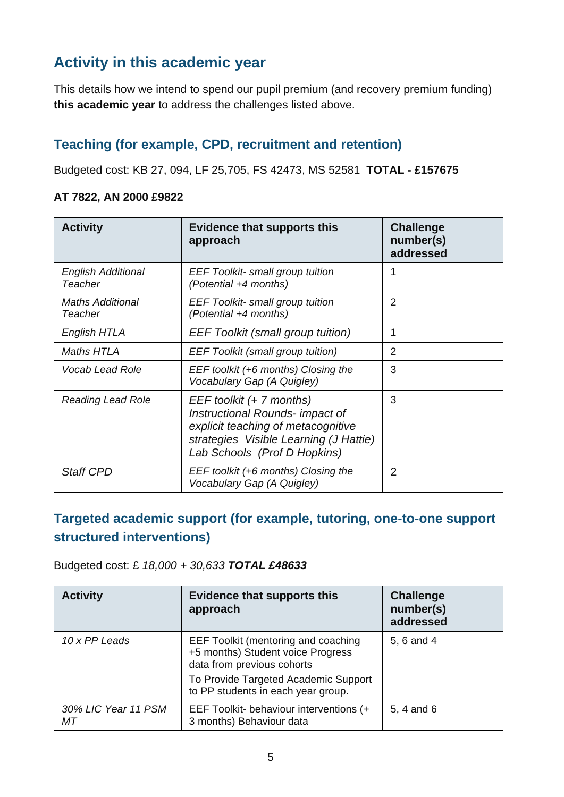# **Activity in this academic year**

This details how we intend to spend our pupil premium (and recovery premium funding) **this academic year** to address the challenges listed above.

### **Teaching (for example, CPD, recruitment and retention)**

Budgeted cost: KB 27, 094, LF 25,705, FS 42473, MS 52581 **TOTAL - £157675**

#### **AT 7822, AN 2000 £9822**

| <b>Activity</b>                      | <b>Evidence that supports this</b><br>approach                                                                                                                              | <b>Challenge</b><br>number(s)<br>addressed |
|--------------------------------------|-----------------------------------------------------------------------------------------------------------------------------------------------------------------------------|--------------------------------------------|
| <b>English Additional</b><br>Teacher | <b>EEF Toolkit-</b> small group tuition<br>(Potential +4 months)                                                                                                            |                                            |
| <b>Maths Additional</b><br>Teacher   | <b>EEF Toolkit- small group tuition</b><br>(Potential +4 months)                                                                                                            | $\overline{2}$                             |
| English HTLA                         | <b>EEF Toolkit (small group tuition)</b>                                                                                                                                    | 1                                          |
| Maths HTLA                           | <b>EEF Toolkit (small group tuition)</b>                                                                                                                                    | $\overline{2}$                             |
| <b>Vocab Lead Role</b>               | EEF toolkit (+6 months) Closing the<br>Vocabulary Gap (A Quigley)                                                                                                           | 3                                          |
| <b>Reading Lead Role</b>             | EEF toolkit (+ 7 months)<br>Instructional Rounds- impact of<br>explicit teaching of metacognitive<br>strategies Visible Learning (J Hattie)<br>Lab Schools (Prof D Hopkins) | 3                                          |
| <b>Staff CPD</b>                     | EEF toolkit (+6 months) Closing the<br>Vocabulary Gap (A Quigley)                                                                                                           | $\overline{2}$                             |

### **Targeted academic support (for example, tutoring, one-to-one support structured interventions)**

Budgeted cost: £ *18,000 + 30,633 TOTAL £48633*

| <b>Activity</b>           | <b>Evidence that supports this</b><br>approach                                                         | <b>Challenge</b><br>number(s)<br>addressed |
|---------------------------|--------------------------------------------------------------------------------------------------------|--------------------------------------------|
| 10 x PP Leads             | EEF Toolkit (mentoring and coaching<br>+5 months) Student voice Progress<br>data from previous cohorts | 5, 6 and 4                                 |
|                           | To Provide Targeted Academic Support<br>to PP students in each year group.                             |                                            |
| 30% LIC Year 11 PSM<br>МT | EEF Toolkit- behaviour interventions (+<br>3 months) Behaviour data                                    | 5, 4 and 6                                 |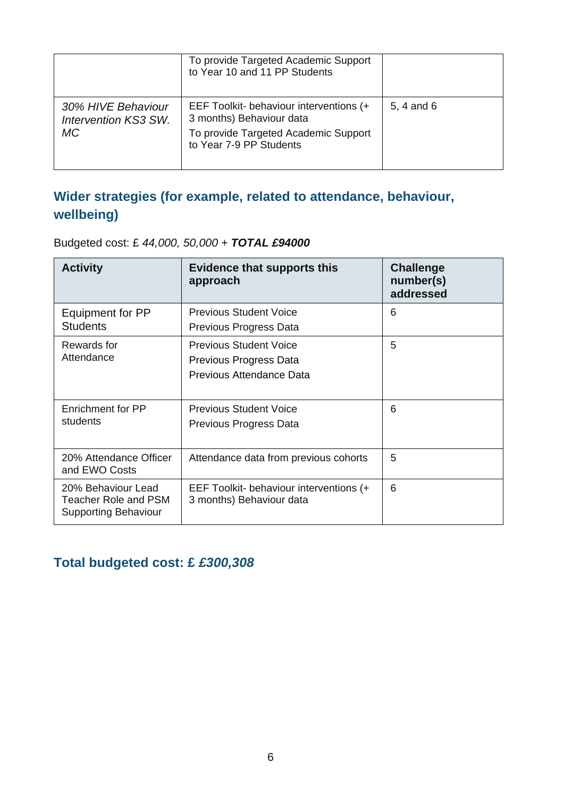|                                                  | To provide Targeted Academic Support<br>to Year 10 and 11 PP Students                                                                  |            |
|--------------------------------------------------|----------------------------------------------------------------------------------------------------------------------------------------|------------|
| 30% HIVE Behaviour<br>Intervention KS3 SW.<br>МC | EEF Toolkit- behaviour interventions (+<br>3 months) Behaviour data<br>To provide Targeted Academic Support<br>to Year 7-9 PP Students | 5, 4 and 6 |

## **Wider strategies (for example, related to attendance, behaviour, wellbeing)**

| <b>Activity</b>                                                           | <b>Evidence that supports this</b><br>approach                                      | <b>Challenge</b><br>number(s)<br>addressed |
|---------------------------------------------------------------------------|-------------------------------------------------------------------------------------|--------------------------------------------|
| Equipment for PP<br><b>Students</b>                                       | <b>Previous Student Voice</b><br>Previous Progress Data                             | 6                                          |
| Rewards for<br>Attendance                                                 | <b>Previous Student Voice</b><br>Previous Progress Data<br>Previous Attendance Data | 5                                          |
| Enrichment for PP<br>students                                             | <b>Previous Student Voice</b><br>Previous Progress Data                             | 6                                          |
| 20% Attendance Officer<br>and EWO Costs                                   | Attendance data from previous cohorts                                               | 5                                          |
| 20% Behaviour Lead<br>Teacher Role and PSM<br><b>Supporting Behaviour</b> | EEF Toolkit- behaviour interventions (+<br>3 months) Behaviour data                 | 6                                          |

Budgeted cost: £ *44,000, 50,000 + TOTAL £94000*

### **Total budgeted cost: £** *£300,308*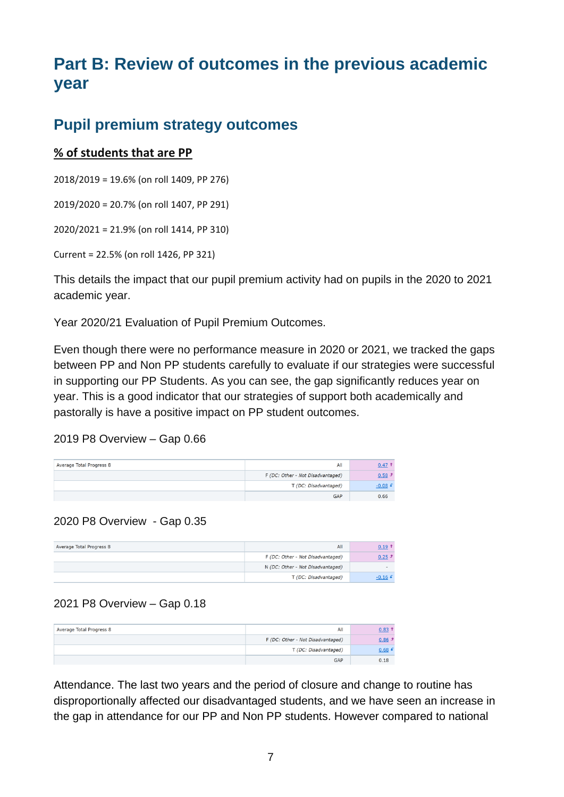# **Part B: Review of outcomes in the previous academic year**

### **Pupil premium strategy outcomes**

#### **% of students that are PP**

2018/2019 = 19.6% (on roll 1409, PP 276)

2019/2020 = 20.7% (on roll 1407, PP 291)

2020/2021 = 21.9% (on roll 1414, PP 310)

Current = 22.5% (on roll 1426, PP 321)

This details the impact that our pupil premium activity had on pupils in the 2020 to 2021 academic year.

Year 2020/21 Evaluation of Pupil Premium Outcomes.

Even though there were no performance measure in 2020 or 2021, we tracked the gaps between PP and Non PP students carefully to evaluate if our strategies were successful in supporting our PP Students. As you can see, the gap significantly reduces year on year. This is a good indicator that our strategies of support both academically and pastorally is have a positive impact on PP student outcomes.

#### 2019 P8 Overview – Gap 0.66

| Average Total Progress 8 | All                               | $0.47$ T  |
|--------------------------|-----------------------------------|-----------|
|                          | F (DC: Other - Not Disadvantaged) | $0.58$ J  |
|                          | T (DC: Disadvantaged)             | $-0.08$ f |
|                          | <b>GAP</b>                        | 0.66      |

#### 2020 P8 Overview - Gap 0.35

| Average Total Progress 8 | All                               | $0.19$ T |
|--------------------------|-----------------------------------|----------|
|                          | F (DC: Other - Not Disadvantaged) | 0.25J    |
|                          | N (DC: Other - Not Disadvantaged) |          |
|                          | T (DC: Disadvantaged)             | $-0.16$  |

#### 2021 P8 Overview – Gap 0.18

| Average Total Progress 8 | All                               | $0.83$ <sup>†</sup> |
|--------------------------|-----------------------------------|---------------------|
|                          | F (DC: Other - Not Disadvantaged) | $0.86$ $*$          |
|                          | T (DC: Disadvantaged)             | 0.68 f              |
|                          | <b>GAP</b>                        | 0.18                |

Attendance. The last two years and the period of closure and change to routine has disproportionally affected our disadvantaged students, and we have seen an increase in the gap in attendance for our PP and Non PP students. However compared to national